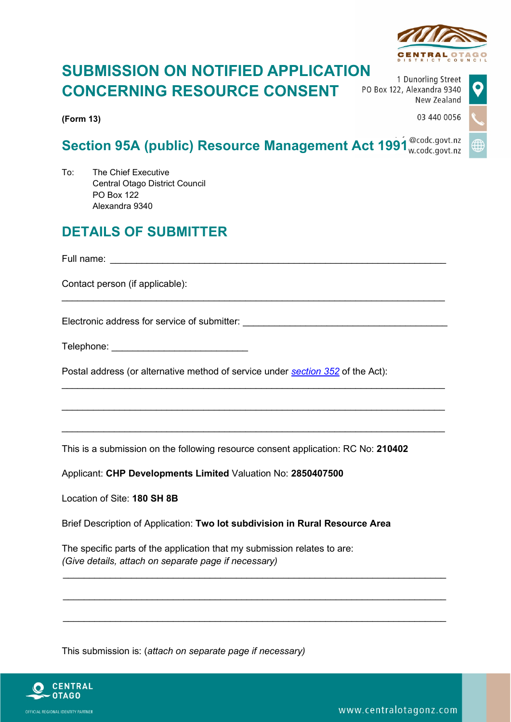

03 440 0056

## **SUBMISSION ON NOTIFIED APPLICATION CONCERNING RESOURCE CONSENT**

**(Form 13)**

1 Dunorling Street PO Box 122, Alexandra 9340 New Zealand

# **Section 95A (public) Resource Management Act 1991**

 $\_$  , and the set of the set of the set of the set of the set of the set of the set of the set of the set of the set of the set of the set of the set of the set of the set of the set of the set of the set of the set of th

 $\_$  , and the set of the set of the set of the set of the set of the set of the set of the set of the set of the set of the set of the set of the set of the set of the set of the set of the set of the set of the set of th

 $\_$  , and the set of the set of the set of the set of the set of the set of the set of the set of the set of the set of the set of the set of the set of the set of the set of the set of the set of the set of the set of th

 $\_$  , and the set of the set of the set of the set of the set of the set of the set of the set of the set of the set of the set of the set of the set of the set of the set of the set of the set of the set of the set of th

 $\_$  , and the set of the set of the set of the set of the set of the set of the set of the set of the set of the set of the set of the set of the set of the set of the set of the set of the set of the set of the set of th

 $\_$  , and the set of the set of the set of the set of the set of the set of the set of the set of the set of the set of the set of the set of the set of the set of the set of the set of the set of the set of the set of th

 $\_$  , and the set of the set of the set of the set of the set of the set of the set of the set of the set of the set of the set of the set of the set of the set of the set of the set of the set of the set of the set of th

To: The Chief Executive Central Otago District Council PO Box 122 Alexandra 9340

### **DETAILS OF SUBMITTER**

Full name: \_\_\_\_\_\_\_\_\_\_\_\_\_\_\_\_\_\_\_\_\_\_\_\_\_\_\_\_\_\_\_\_\_\_\_\_\_\_\_\_\_\_\_\_\_\_\_\_\_\_\_\_\_\_\_\_\_\_\_\_\_\_\_\_

Contact person (if applicable):

Electronic address for service of submitter: **Electronic address for service of submitter:** 

Telephone: \_\_\_\_\_\_\_\_\_\_\_\_\_\_\_\_\_\_\_\_\_\_\_\_\_\_

Postal address (or alternative method of service under *[section](http://www.legislation.govt.nz/regulation/public/2003/0153/latest/link.aspx?id=DLM239099#DLM239099) 352* of the Act):

This is a submission on the following resource consent application: RC No: **210402**

Applicant: **CHP Developments Limited** Valuation No: **2850407500**

Location of Site: **180 SH 8B**

Brief Description of Application: **Two lot subdivision in Rural Resource Area**

The specific parts of the application that my submission relates to are: *(Give details, attach on separate page if necessary)*

This submission is: (*attach on separate page if necessary)* 



OFFICIAL REGIONAL IDENTITY PARTNER

www.centralotagonz.com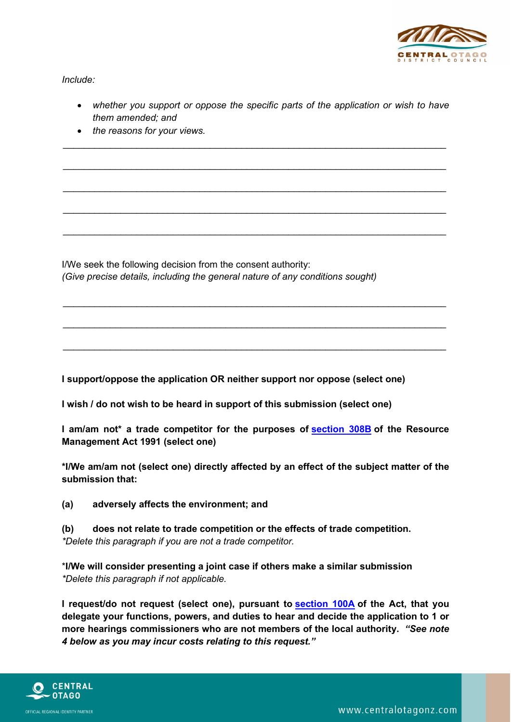

*Include:*

• *whether you support or oppose the specific parts of the application or wish to have them amended; and*

 $\_$  , and the set of the set of the set of the set of the set of the set of the set of the set of the set of the set of the set of the set of the set of the set of the set of the set of the set of the set of the set of th

 $\_$  , and the set of the set of the set of the set of the set of the set of the set of the set of the set of the set of the set of the set of the set of the set of the set of the set of the set of the set of the set of th

 $\_$  , and the set of the set of the set of the set of the set of the set of the set of the set of the set of the set of the set of the set of the set of the set of the set of the set of the set of the set of the set of th

 $\_$  , and the set of the set of the set of the set of the set of the set of the set of the set of the set of the set of the set of the set of the set of the set of the set of the set of the set of the set of the set of th

 $\_$  , and the set of the set of the set of the set of the set of the set of the set of the set of the set of the set of the set of the set of the set of the set of the set of the set of the set of the set of the set of th

 $\_$  , and the set of the set of the set of the set of the set of the set of the set of the set of the set of the set of the set of the set of the set of the set of the set of the set of the set of the set of the set of th

 $\_$  , and the set of the set of the set of the set of the set of the set of the set of the set of the set of the set of the set of the set of the set of the set of the set of the set of the set of the set of the set of th

 $\_$  , and the set of the set of the set of the set of the set of the set of the set of the set of the set of the set of the set of the set of the set of the set of the set of the set of the set of the set of the set of th

• *the reasons for your views.*

I/We seek the following decision from the consent authority: *(Give precise details, including the general nature of any conditions sought)*

**I support/oppose the application OR neither support nor oppose (select one)**

**I wish / do not wish to be heard in support of this submission (select one)**

**I am/am not\* a trade competitor for the purposes of [section](http://www.legislation.govt.nz/regulation/public/2003/0153/latest/link.aspx?id=DLM2421549#DLM2421549) 308B of the Resource Management Act 1991 (select one)**

**\*I/We am/am not (select one) directly affected by an effect of the subject matter of the submission that:**

**(a) adversely affects the environment; and**

**(b) does not relate to trade competition or the effects of trade competition.** *\*Delete this paragraph if you are not a trade competitor.*

\***I/We will consider presenting a joint case if others make a similar submission** *\*Delete this paragraph if not applicable.*

**I request/do not request (select one), pursuant to [section](http://www.legislation.govt.nz/regulation/public/2003/0153/latest/link.aspx?id=DLM2416444#DLM2416444) 100A of the Act, that you delegate your functions, powers, and duties to hear and decide the application to 1 or more hearings commissioners who are not members of the local authority.** *"See note 4 below as you may incur costs relating to this request."*